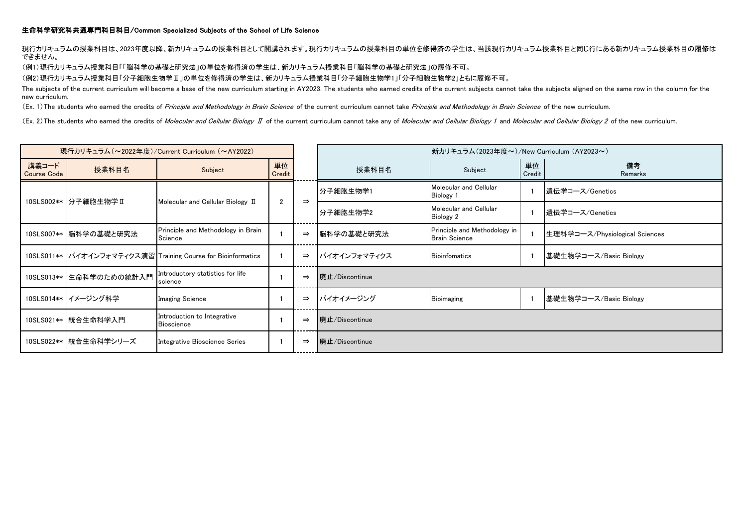## 生命科学研究科共通専門科目科目/Common Specialized Subjects of the School of Life Science

現行カリキュラムの授業科目は、2023年度以降、新カリキュラムの授業科目として開講されます。現行カリキュラムの授業科目の単位を修得済の学生は、当該現行カリキュラム授業科目と同じ行にある新カリキュラム授業科目の履修は できません。

(例1)現行カリキュラム授業科目「「脳科学の基礎と研究法」の単位を修得済の学生は、新カリキュラム授業科目「脳科学の基礎と研究法」の履修不可。

(例2)現行カリキュラム授業科目「分子細胞生物学Ⅱ」の単位を修得済の学生は、新カリキュラム授業科目「分子細胞生物学1」「分子細胞生物学2」ともに履修不可。

The subjects of the current curriculum will become a base of the new curriculum starting in AY2023. The students who earned credits of the current subjects cannot take the subjects aligned on the same row in the column for new curriculum.

(Ex. 1) The students who earned the credits of Principle and Methodology in Brain Science of the current curriculum cannot take Principle and Methodology in Brain Science of the new curriculum.

(Ex. 2) The students who earned the credits of Molecular and Cellular Biology *I* of the current curriculum cannot take any of Molecular and Cellular Biology 1 and Molecular and Cellular Biology 2 of the new curriculum.

| 現行カリキュラム (~2022年度)/Current Curriculum (~AY2022) |                         |                                                              |              |               | 新カリキュラム(2023年度~)/New Curriculum (AY2023~) |                                                      |              |                                |  |
|-------------------------------------------------|-------------------------|--------------------------------------------------------------|--------------|---------------|-------------------------------------------|------------------------------------------------------|--------------|--------------------------------|--|
| 講義コード<br>Course Code                            | 授業科目名                   | Subject                                                      | 単位<br>Credit |               | 授業科目名                                     | Subject                                              | 単位<br>Credit | 備考<br>Remarks                  |  |
|                                                 | 10SLS002**  分子細胞生物学 II  | Molecular and Cellular Biology II                            | $\mathbf{2}$ | $\Rightarrow$ | 分子細胞生物学1                                  | Molecular and Cellular<br>Biology 1                  |              | 遺伝学コース/Genetics                |  |
|                                                 |                         |                                                              |              |               | ┃分子細胞生物学2                                 | Molecular and Cellular<br>Biology 2                  |              | 遺伝学コース/Genetics                |  |
|                                                 | 10SLS007** 脳科学の基礎と研究法   | Principle and Methodology in Brain<br>Science                |              | $\Rightarrow$ | 脳科学の基礎と研究法                                | Principle and Methodology in<br><b>Brain Science</b> |              | 生理科学コース/Physiological Sciences |  |
|                                                 |                         | 10SLS011** バイオインフォマティクス演習 Training Course for Bioinformatics |              | $\Rightarrow$ | バイオインフォマティクス                              | <b>Bioinfomatics</b>                                 |              | 基礎生物学コース/Basic Biology         |  |
|                                                 | 10SLS013** 生命科学のための統計入門 | Introductory statistics for life<br>science                  |              | $\Rightarrow$ | Ⅰ廃止/Discontinue                           |                                                      |              |                                |  |
|                                                 | 10SLS014**  イメージング科学    | <b>Imaging Science</b>                                       |              | $\Rightarrow$ | バイオイメージング                                 | <b>Bioimaging</b>                                    |              | 基礎生物学コース/Basic Biology         |  |
|                                                 | 10SLS021** 統合生命科学入門     | Introduction to Integrative<br><b>Bioscience</b>             |              | $\Rightarrow$ | Ⅰ廃止/Discontinue                           |                                                      |              |                                |  |
|                                                 | 10SLS022** 統合生命科学シリーズ   | Integrative Bioscience Series                                |              | $\Rightarrow$ | 廃止/Discontinue                            |                                                      |              |                                |  |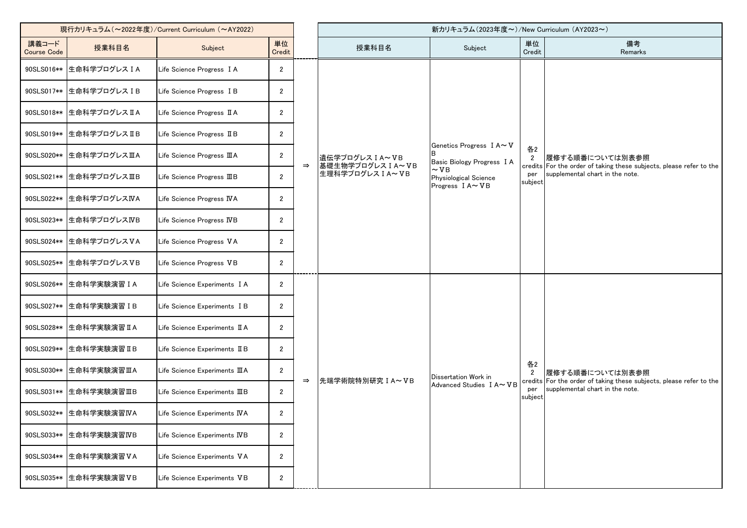| 現行カリキュラム (~2022年度)/Current Curriculum (~AY2022) |                        |                                                    |                  |               | 新カリキュラム(2023年度~)/New Curriculum (AY2023~)               |                                                                                                               |                                        |                                                                                                                           |
|-------------------------------------------------|------------------------|----------------------------------------------------|------------------|---------------|---------------------------------------------------------|---------------------------------------------------------------------------------------------------------------|----------------------------------------|---------------------------------------------------------------------------------------------------------------------------|
| 講義コード<br><b>Course Code</b>                     | 授業科目名                  | Subject                                            | 単位<br>Credit     |               | 授業科目名                                                   | Subject                                                                                                       | 単位<br>Credit                           | 備考<br>Remarks                                                                                                             |
| 90SLS016**                                      | 生命科学プログレスIA            | Life Science Progress I A                          | $\mathbf{2}$     |               | 遺伝学プログレス I A~VB<br>■基礎生物学プログレス I A~VB<br>生理科学プログレスIA~VB | Genetics Progress I A~V<br>Basic Biology Progress I A<br>$\sim$ VB<br>Physiological Science<br>Progress IA~VB | 各2<br>$\overline{2}$<br>per<br>subject | 履修する順番については別表参照<br>credits For the order of taking these subjects, please refer to the<br>supplemental chart in the note. |
| 90SLS017**                                      | 生命科学プログレスIB            | Life Science Progress I B                          | $\mathbf{2}$     |               |                                                         |                                                                                                               |                                        |                                                                                                                           |
| 90SLS018**                                      | 生命科学プログレスIA            | Life Science Progress II A                         | $\mathbf{2}$     |               |                                                         |                                                                                                               |                                        |                                                                                                                           |
| 90SLS019**                                      | 生命科学プログレスIB            | Life Science Progress II B                         | $\mathbf{2}$     |               |                                                         |                                                                                                               |                                        |                                                                                                                           |
| 90SLS020**                                      | 生命科学プログレスIIA           | Life Science Progress IIIA                         | $\mathbf{2}$     | $\Rightarrow$ |                                                         |                                                                                                               |                                        |                                                                                                                           |
| 90SLS021**                                      | 生命科学プログレスIIB           | Life Science Progress IIIB                         | $\mathbf{2}$     |               |                                                         |                                                                                                               |                                        |                                                                                                                           |
| 90SLS022**                                      | 生命科学プログレスIVA           | Life Science Progress IVA                          | $\boldsymbol{2}$ |               |                                                         |                                                                                                               |                                        |                                                                                                                           |
| 90SLS023**                                      | 生命科学プログレスIVB           | Life Science Progress IVB                          | $\mathbf{2}$     |               |                                                         |                                                                                                               |                                        |                                                                                                                           |
| 90SLS024**                                      | 生命科学プログレスVA            | Life Science Progress VA                           | $\overline{2}$   |               |                                                         |                                                                                                               |                                        |                                                                                                                           |
| 90SLS025**                                      | 生命科学プログレスVB            | Life Science Progress VB                           | $\mathbf{2}$     |               |                                                         |                                                                                                               |                                        |                                                                                                                           |
| 90SLS026**                                      | 生命科学実験演習 I A           | Life Science Experiments I A                       | $\mathbf{2}$     | $\Rightarrow$ | 先端学術院特別研究 I A~VB                                        | Dissertation Work in<br>Advanced Studies I A~VB                                                               | 各2<br>$\mathbf{2}$                     | 履修する順番については別表参照<br>credits For the order of taking these subjects, please refer to the<br>supplemental chart in the note. |
| 90SLS027**                                      | 生命科学実験演習 IB            | Life Science Experiments I B                       | $\mathbf{2}$     |               |                                                         |                                                                                                               |                                        |                                                                                                                           |
| 90SLS028**                                      | 生命科学実験演習IA             | Life Science Experiments II A                      | $\mathbf{2}$     |               |                                                         |                                                                                                               |                                        |                                                                                                                           |
| 90SLS029**                                      | 生命科学実験演習IB             | Life Science Experiments II B                      | $\mathbf{2}$     |               |                                                         |                                                                                                               |                                        |                                                                                                                           |
|                                                 | 90SLS030 ** 生命科学実験演習ⅢA | Life Science Experiments $\mathbf{\Pi} \mathbf{A}$ | $\overline{2}$   |               |                                                         |                                                                                                               |                                        |                                                                                                                           |
| 90SLS031**                                      | 生命科学実験演習ⅢB             | Life Science Experiments IIIB                      | $\mathbf{2}$     |               |                                                         |                                                                                                               | per<br>subject                         |                                                                                                                           |
| 90SLS032**                                      | 生命科学実験演習IVA            | Life Science Experiments IVA                       | $\mathbf{2}$     |               |                                                         |                                                                                                               |                                        |                                                                                                                           |
| 90SLS033**                                      | 生命科学実験演習IVB            | Life Science Experiments IVB                       | $\mathbf{2}$     |               |                                                         |                                                                                                               |                                        |                                                                                                                           |
| 90SLS034**                                      | 生命科学実験演習VA             | Life Science Experiments VA                        | $\mathbf{2}$     |               |                                                         |                                                                                                               |                                        |                                                                                                                           |
| 90SLS035**                                      | 生命科学実験演習VB             | Life Science Experiments VB                        | $\mathbf{2}$     |               |                                                         |                                                                                                               |                                        |                                                                                                                           |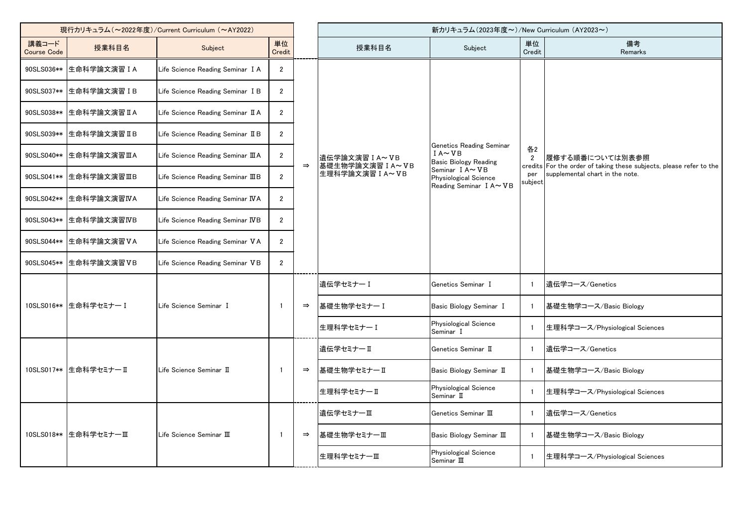| 現行カリキュラム (~2022年度)/Current Curriculum (~AY2022) |                        |                                    |                |               |                                                       | 新カリキュラム(2023年度~)/New Curriculum (AY2023~)                                                                                                    |                                        |                                                                                                                           |
|-------------------------------------------------|------------------------|------------------------------------|----------------|---------------|-------------------------------------------------------|----------------------------------------------------------------------------------------------------------------------------------------------|----------------------------------------|---------------------------------------------------------------------------------------------------------------------------|
| 講義コード<br><b>Course Code</b>                     | 授業科目名                  | Subject                            | 単位<br>Credit   |               | 授業科目名                                                 | Subject                                                                                                                                      | 単位<br>Credit                           | 備考<br>Remarks                                                                                                             |
| 90SLS036**                                      | 生命科学論文演習IA             | Life Science Reading Seminar I A   | $\mathbf{2}$   |               |                                                       |                                                                                                                                              |                                        |                                                                                                                           |
| 90SLS037**                                      | 生命科学論文演習 IB            | Life Science Reading Seminar I B   | $\overline{2}$ |               |                                                       |                                                                                                                                              |                                        |                                                                                                                           |
| 90SLS038**                                      | 生命科学論文演習IA             | Life Science Reading Seminar II A  | $\mathbf{2}$   |               |                                                       |                                                                                                                                              |                                        |                                                                                                                           |
| 90SLS039**                                      | 生命科学論文演習IB             | Life Science Reading Seminar II B  | $\overline{2}$ | $\Rightarrow$ | 遺伝学論文演習 I A~VB<br>基礎生物学論文演習 I A~VB<br>生理科学論文演習 I A~VB | Genetics Reading Seminar<br>$IA \sim VB$<br><b>Basic Biology Reading</b><br>Seminar IA~VB<br>Physiological Science<br>Reading Seminar I A~VB | 各2<br>$\overline{2}$<br>per<br>subject | 履修する順番については別表参照<br>credits For the order of taking these subjects, please refer to the<br>supplemental chart in the note. |
| 90SLS040**                                      | 生命科学論文演習ⅢA             | Life Science Reading Seminar III A | $\mathbf{2}$   |               |                                                       |                                                                                                                                              |                                        |                                                                                                                           |
| 90SLS041**                                      | 生命科学論文演習ⅢB             | Life Science Reading Seminar IIIB  | $\overline{2}$ |               |                                                       |                                                                                                                                              |                                        |                                                                                                                           |
| 90SLS042**                                      | 生命科学論文演習IVA            | Life Science Reading Seminar IVA   | $\overline{2}$ |               |                                                       |                                                                                                                                              |                                        |                                                                                                                           |
| 90SLS043**                                      | 生命科学論文演習IVB            | Life Science Reading Seminar IVB   | $\overline{2}$ |               |                                                       |                                                                                                                                              |                                        |                                                                                                                           |
| 90SLS044**                                      | 生命科学論文演習VA             | Life Science Reading Seminar VA    | $\overline{2}$ |               |                                                       |                                                                                                                                              |                                        |                                                                                                                           |
| 90SLS045**                                      | 生命科学論文演習VB             | Life Science Reading Seminar VB    | $\mathbf{2}$   |               |                                                       |                                                                                                                                              |                                        |                                                                                                                           |
|                                                 |                        |                                    |                |               | 遺伝学セミナー I                                             | Genetics Seminar I                                                                                                                           | $\mathbf{1}$                           | 遺伝学コース/Genetics                                                                                                           |
|                                                 | 10SLS016** 生命科学セミナー I  | Life Science Seminar I             | $\mathbf{1}$   | $\Rightarrow$ | 基礎生物学セミナーI                                            | Basic Biology Seminar I                                                                                                                      | -1                                     | 基礎生物学コース/Basic Biology                                                                                                    |
|                                                 |                        |                                    |                |               | 生理科学セミナーI                                             | Physiological Science<br>Seminar I                                                                                                           | $\overline{1}$                         | 生理科学コース/Physiological Sciences                                                                                            |
|                                                 |                        |                                    |                |               | 遺伝学セミナーⅡ                                              | Genetics Seminar II                                                                                                                          | $\mathbf{1}$                           | 遺伝学コース/Genetics                                                                                                           |
|                                                 | 10SLS017** 生命科学セミナー II | Life Science Seminar II            |                | $\Rightarrow$ | 基礎生物学セミナーⅡ                                            | Basic Biology Seminar II                                                                                                                     | $\mathbf{1}$                           | 基礎生物学コース/Basic Biology                                                                                                    |
|                                                 |                        |                                    |                |               | 生理科学セミナーⅡ                                             | Physiological Science<br>Seminar II                                                                                                          | $\overline{1}$                         | 生理科学コース/Physiological Sciences                                                                                            |
|                                                 |                        |                                    |                |               | 遺伝学セミナーⅢ                                              | Genetics Seminar III                                                                                                                         | $\overline{1}$                         | 遺伝学コース/Genetics                                                                                                           |
|                                                 | 10SLS018** 生命科学セミナーⅢ   | Life Science Seminar III           | 1              | $\Rightarrow$ | 基礎生物学セミナーⅢ                                            | Basic Biology Seminar III                                                                                                                    | -1                                     | 基礎生物学コース/Basic Biology                                                                                                    |
|                                                 |                        |                                    |                |               | 生理科学セミナーⅢ                                             | Physiological Science<br>Seminar III                                                                                                         | $\overline{\mathbf{1}}$                | 生理科学コース/Physiological Sciences                                                                                            |